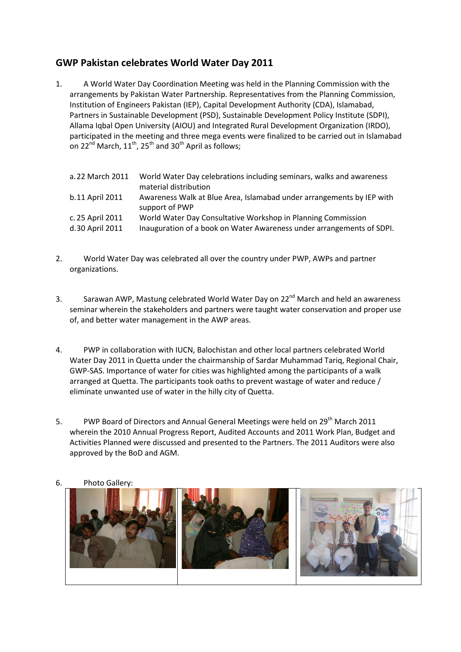## **GWP Pakistan celebrates World Water Day 2011**

1. A World Water Day Coordination Meeting was held in the Planning Commission with the arrangements by Pakistan Water Partnership. Representatives from the Planning Commission, Institution of Engineers Pakistan (IEP), Capital Development Authority (CDA), Islamabad, Partners in Sustainable Development (PSD), Sustainable Development Policy Institute (SDPI), Allama Iqbal Open University (AIOU) and Integrated Rural Development Organization (IRDO), participated in the meeting and three mega events were finalized to be carried out in Islamabad on 22<sup>nd</sup> March,  $11^{th}$ , 25<sup>th</sup> and 30<sup>th</sup> April as follows;

| a. 22 March 2011                    | World Water Day celebrations including seminars, walks and awareness<br>material distribution                                         |
|-------------------------------------|---------------------------------------------------------------------------------------------------------------------------------------|
| b.11 April 2011                     | Awareness Walk at Blue Area, Islamabad under arrangements by IEP with<br>support of PWP                                               |
| c. 25 April 2011<br>d.30 April 2011 | World Water Day Consultative Workshop in Planning Commission<br>Inauguration of a book on Water Awareness under arrangements of SDPI. |

- 2. World Water Day was celebrated all over the country under PWP, AWPs and partner organizations.
- 3. Sarawan AWP, Mastung celebrated World Water Day on 22<sup>nd</sup> March and held an awareness seminar wherein the stakeholders and partners were taught water conservation and proper use of, and better water management in the AWP areas.
- 4. PWP in collaboration with IUCN, Balochistan and other local partners celebrated World Water Day 2011 in Quetta under the chairmanship of Sardar Muhammad Tariq, Regional Chair, GWP-SAS. Importance of water for cities was highlighted among the participants of a walk arranged at Quetta. The participants took oaths to prevent wastage of water and reduce / eliminate unwanted use of water in the hilly city of Quetta.
- 5. PWP Board of Directors and Annual General Meetings were held on 29<sup>th</sup> March 2011 wherein the 2010 Annual Progress Report, Audited Accounts and 2011 Work Plan, Budget and Activities Planned were discussed and presented to the Partners. The 2011 Auditors were also approved by the BoD and AGM.



6. Photo Gallery: